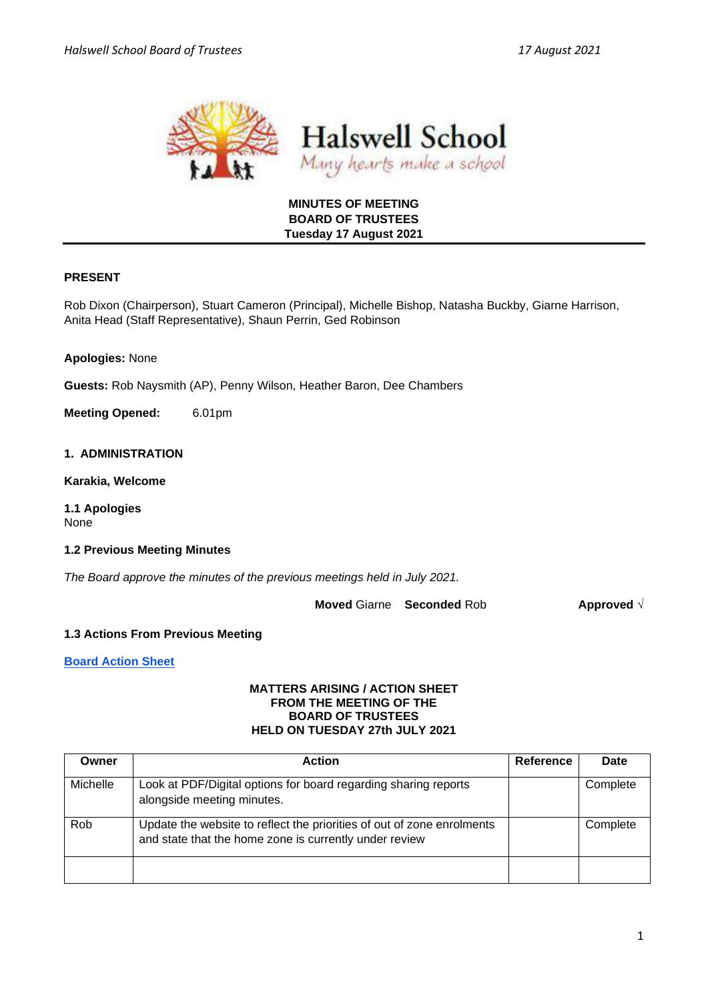



## **MINUTES OF MEETING BOARD OF TRUSTEES Tuesday 17 August 2021**

## **PRESENT**

Rob Dixon (Chairperson), Stuart Cameron (Principal), Michelle Bishop, Natasha Buckby, Giarne Harrison, Anita Head (Staff Representative), Shaun Perrin, Ged Robinson

**Apologies:** None

**Guests:** Rob Naysmith (AP), Penny Wilson, Heather Baron, Dee Chambers

**Meeting Opened:** 6.01pm

#### **1. ADMINISTRATION**

**Karakia, Welcome**

**1.1 Apologies** None

#### **1.2 Previous Meeting Minutes**

*The Board approve the minutes of the previous meetings held in July 2021.* 

**Moved** Giarne **Seconded** Rob **Approved** √

#### **1.3 Actions From Previous Meeting**

**[Board Action Sheet](https://docs.google.com/spreadsheets/d/1Lq85pvOqzWaQZNJlJfVpBub2vHg9dtIOmQG6Z0m2TA4/edit#gid=0)** 

#### **MATTERS ARISING / ACTION SHEET FROM THE MEETING OF THE BOARD OF TRUSTEES HELD ON TUESDAY 27th JULY 2021**

| Owner    | <b>Action</b>                                                                                                                    | <b>Reference</b> | Date     |
|----------|----------------------------------------------------------------------------------------------------------------------------------|------------------|----------|
| Michelle | Look at PDF/Digital options for board regarding sharing reports<br>alongside meeting minutes.                                    |                  | Complete |
| Rob      | Update the website to reflect the priorities of out of zone enrolments<br>and state that the home zone is currently under review |                  | Complete |
|          |                                                                                                                                  |                  |          |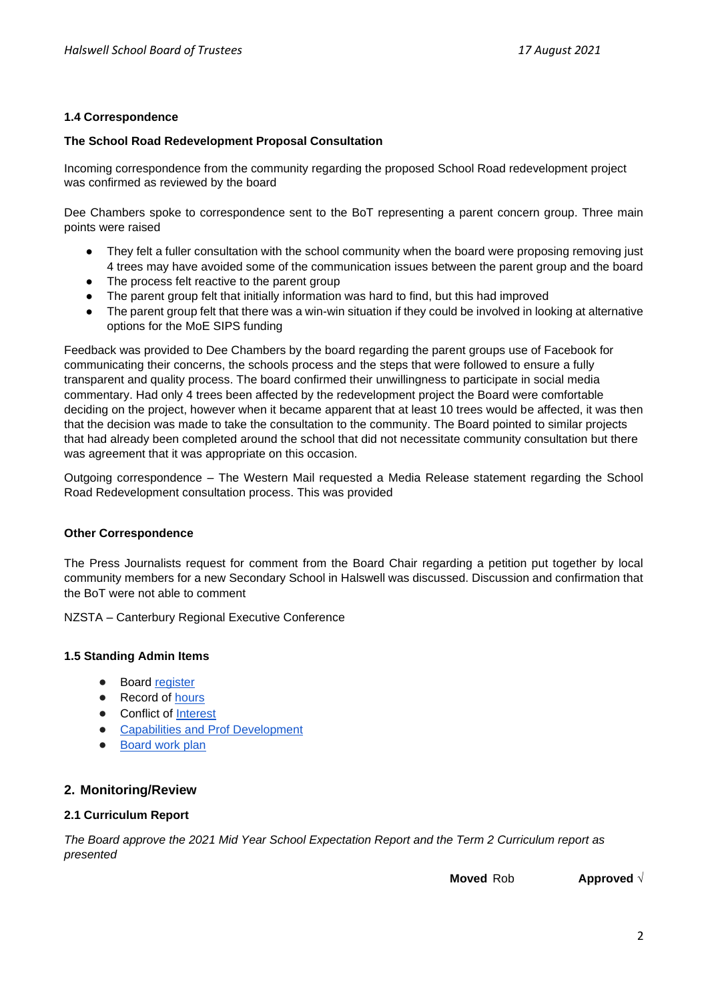## **1.4 Correspondence**

## **The School Road Redevelopment Proposal Consultation**

Incoming correspondence from the community regarding the proposed School Road redevelopment project was confirmed as reviewed by the board

Dee Chambers spoke to correspondence sent to the BoT representing a parent concern group. Three main points were raised

- They felt a fuller consultation with the school community when the board were proposing removing just 4 trees may have avoided some of the communication issues between the parent group and the board
- The process felt reactive to the parent group
- The parent group felt that initially information was hard to find, but this had improved
- The parent group felt that there was a win-win situation if they could be involved in looking at alternative options for the MoE SIPS funding

Feedback was provided to Dee Chambers by the board regarding the parent groups use of Facebook for communicating their concerns, the schools process and the steps that were followed to ensure a fully transparent and quality process. The board confirmed their unwillingness to participate in social media commentary. Had only 4 trees been affected by the redevelopment project the Board were comfortable deciding on the project, however when it became apparent that at least 10 trees would be affected, it was then that the decision was made to take the consultation to the community. The Board pointed to similar projects that had already been completed around the school that did not necessitate community consultation but there was agreement that it was appropriate on this occasion.

Outgoing correspondence – The Western Mail requested a Media Release statement regarding the School Road Redevelopment consultation process. This was provided

## **Other Correspondence**

The Press Journalists request for comment from the Board Chair regarding a petition put together by local community members for a new Secondary School in Halswell was discussed. Discussion and confirmation that the BoT were not able to comment

NZSTA – Canterbury Regional Executive Conference

## **1.5 Standing Admin Items**

- Boar[d](https://drive.google.com/open?id=1LgYeP3fbHNJrrdwtKhmni7bUn5KZf6AdawXvp-8GM5I) [register](https://drive.google.com/open?id=1LgYeP3fbHNJrrdwtKhmni7bUn5KZf6AdawXvp-8GM5I)
- Record o[f](https://docs.google.com/spreadsheets/d/1ooqHmfuVcjAxJj74l2cyNrLx6E1GWjN2CMAD-VWrSTk/edit#gid=1585903216) hours
- Con[f](https://drive.google.com/open?id=1LpqgUK6iwhrXOSzvrxmLTcgpA-wsuZg7DU-aIw9nGAw)lict of [Interest](https://drive.google.com/open?id=1LpqgUK6iwhrXOSzvrxmLTcgpA-wsuZg7DU-aIw9nGAw)
- [Capabilities and Prof Development](https://drive.google.com/open?id=1Vq0YrIsDwmndZRHvvGvFtK1YOlEWlifxCfIAxHaVDlo)
- **[Board work plan](https://docs.google.com/document/d/16WAgjXfZuFQ9Un3Lb7bJ9NQj9tU1J26Koes3jzuU9jQ/edit)**

# **2. Monitoring/Review**

## **2.1 Curriculum Report**

*The Board approve the 2021 Mid Year School Expectation Report and the Term 2 Curriculum report as presented* 

**Moved** Rob **Approved** √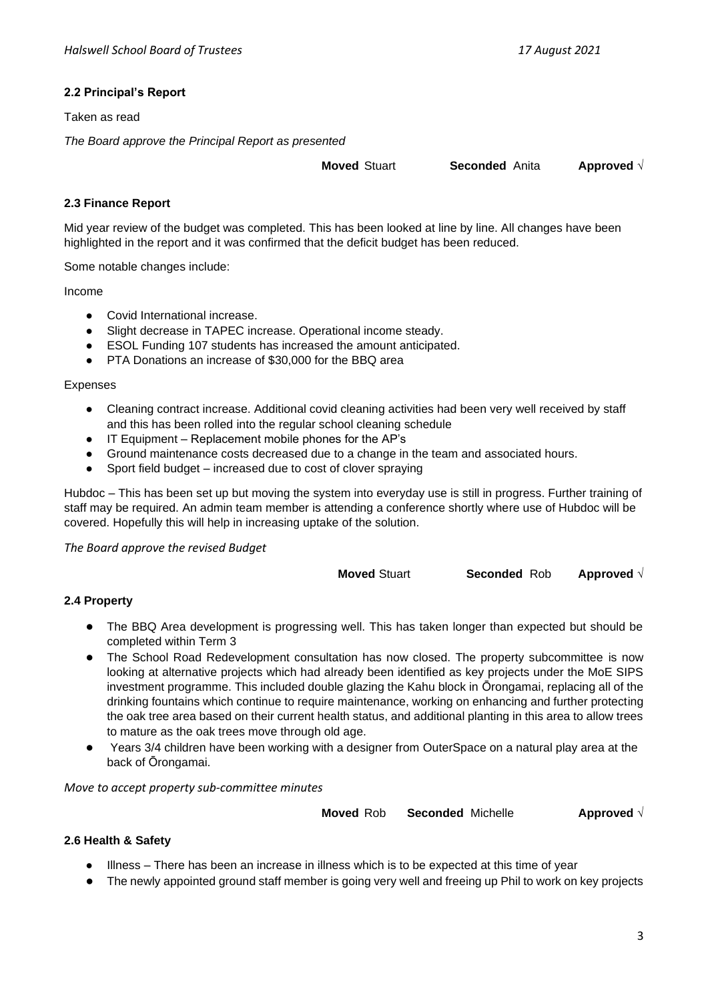# **2.2 Principal's Report**

Taken as read

*The Board approve the Principal Report as presented* 

**Moved** Stuart **Seconded** Anita **Approved** √

## **2.3 Finance Report**

Mid year review of the budget was completed. This has been looked at line by line. All changes have been highlighted in the report and it was confirmed that the deficit budget has been reduced.

Some notable changes include:

Income

- Covid International increase.
- Slight decrease in TAPEC increase. Operational income steady.
- ESOL Funding 107 students has increased the amount anticipated.
- PTA Donations an increase of \$30,000 for the BBQ area

Expenses

- Cleaning contract increase. Additional covid cleaning activities had been very well received by staff and this has been rolled into the regular school cleaning schedule
- IT Equipment Replacement mobile phones for the AP's
- Ground maintenance costs decreased due to a change in the team and associated hours.
- Sport field budget increased due to cost of clover spraying

Hubdoc – This has been set up but moving the system into everyday use is still in progress. Further training of staff may be required. An admin team member is attending a conference shortly where use of Hubdoc will be covered. Hopefully this will help in increasing uptake of the solution.

*The Board approve the revised Budget*

**Moved** Stuart **Seconded** Rob **Approved** √

## **2.4 Property**

- The BBQ Area development is progressing well. This has taken longer than expected but should be completed within Term 3
- The School Road Redevelopment consultation has now closed. The property subcommittee is now looking at alternative projects which had already been identified as key projects under the MoE SIPS investment programme. This included double glazing the Kahu block in Ōrongamai, replacing all of the drinking fountains which continue to require maintenance, working on enhancing and further protecting the oak tree area based on their current health status, and additional planting in this area to allow trees to mature as the oak trees move through old age.
- Years 3/4 children have been working with a designer from OuterSpace on a natural play area at the back of Ōrongamai.

*Move to accept property sub-committee minutes*

**Moved** Rob **Seconded** Michelle **Approved** √

## **2.6 Health & Safety**

- Illness There has been an increase in illness which is to be expected at this time of year
- The newly appointed ground staff member is going very well and freeing up Phil to work on key projects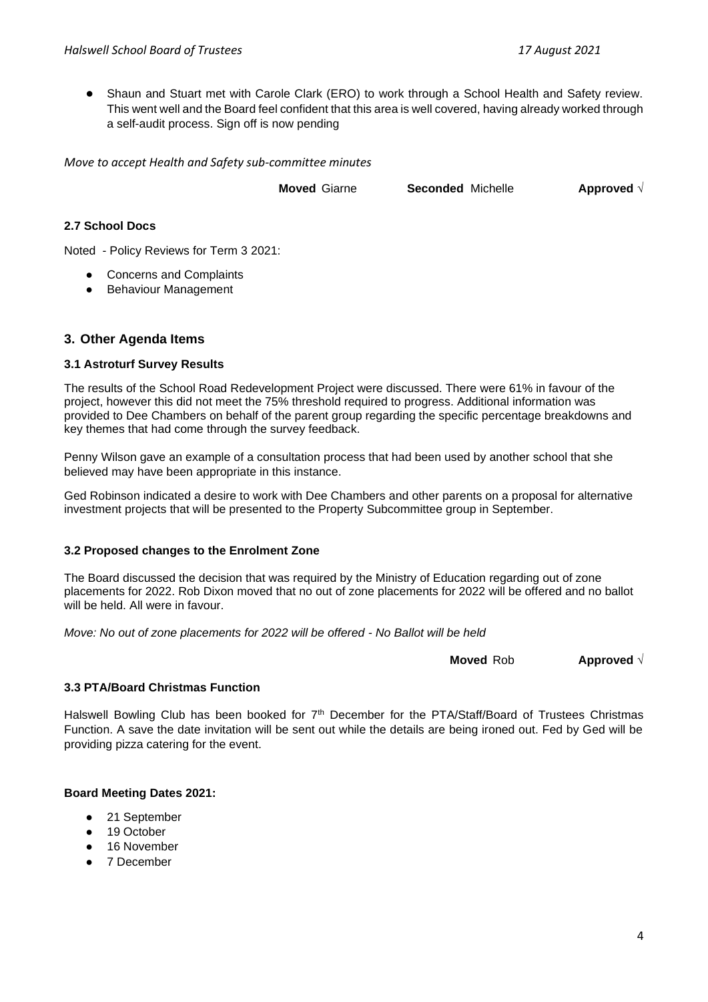● Shaun and Stuart met with Carole Clark (ERO) to work through a School Health and Safety review. This went well and the Board feel confident that this area is well covered, having already worked through a self-audit process. Sign off is now pending

*Move to accept Health and Safety sub-committee minutes*

**Moved** Giarne **Seconded** Michelle **Approved** √

**2.7 School Docs**

Noted - Policy Reviews for Term 3 2021:

- Concerns and Complaints
- Behaviour Management

## **3. Other Agenda Items**

#### **3.1 Astroturf Survey Results**

The results of the School Road Redevelopment Project were discussed. There were 61% in favour of the project, however this did not meet the 75% threshold required to progress. Additional information was provided to Dee Chambers on behalf of the parent group regarding the specific percentage breakdowns and key themes that had come through the survey feedback.

Penny Wilson gave an example of a consultation process that had been used by another school that she believed may have been appropriate in this instance.

Ged Robinson indicated a desire to work with Dee Chambers and other parents on a proposal for alternative investment projects that will be presented to the Property Subcommittee group in September.

#### **3.2 Proposed changes to the Enrolment Zone**

The Board discussed the decision that was required by the Ministry of Education regarding out of zone placements for 2022. Rob Dixon moved that no out of zone placements for 2022 will be offered and no ballot will be held. All were in favour.

*Move: No out of zone placements for 2022 will be offered - No Ballot will be held*

**Moved** Rob **Approved** √

## **3.3 PTA/Board Christmas Function**

Halswell Bowling Club has been booked for  $7<sup>th</sup>$  December for the PTA/Staff/Board of Trustees Christmas Function. A save the date invitation will be sent out while the details are being ironed out. Fed by Ged will be providing pizza catering for the event.

## **Board Meeting Dates 2021:**

- 21 September
- 19 October
- 16 November
- 7 December